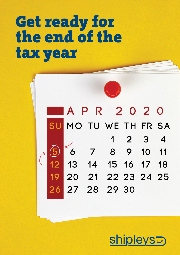# Get ready for the end of the tax year

A P R 2 0 2 0 SU MO TU WE TH FR SA  $1 2 3 4$ 6 6 7 8 9 10 11<br>12 13 14 15 16 17 18<br>19 20 21 22 23 24 25 26 27 28 29 30

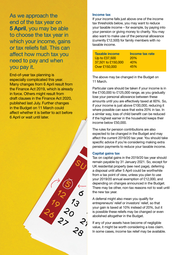As we approach the end of the tax year on **5 April**, you may be able to choose the tax year in which your income, gains or tax reliefs fall. This can affect how much tax you need to pay and when you pay it.

End-of-year tax planning is especially complicated this year. Many changes from 6 April result from the Finance Act 2019, which is already in force. Others might result from draft clauses in the Finance Act 2020, published last July. Further changes in the Budget on 11 March could affect whether it is better to act before 6 April or wait until later.



#### **Income tax**

If your income falls just above one of the income tax thresholds below, you may want to reduce your taxable income – for example, by paying into your pension or giving money to charity. You may also want to make use of the personal allowance (currently £12,500) for family members with no taxable income.

| <b>Taxable income</b> | Income tax rate |
|-----------------------|-----------------|
| Up to £37,500         | <b>20%</b>      |
| 37.501 to £150,000    | 40%             |
| Over £150,000         | 45%             |

The above may be changed in the Budget on 11 March.

Particular care should be taken if your income is in the £100,000 to £125,000 range, as you gradually lose your personal allowance between these amounts until you are effectively taxed at 60%. So, if your income is just above £100,000, reducing it where possible can save that extra 20% in tax. In a similar way, loss of child benefit can be reduced if the highest earner in the household keeps their income below £50,000.

The rules for pension contributions are also expected to be changed in the Budget and may affect the current 2019/20 tax year. You should take specific advice if you're considering making extra pension payments to reduce your taxable income.

# **Capital gains tax**

Tax on capital gains in the 2019/20 tax year should remain payable by 31 January 2021. So, except for UK residential property (see next page), deferring a disposal until after 5 April could be worthwhile from a tax point of view, unless you plan to use your 2019/20 annual exemption of £12,000, and depending on changes announced in the Budget. There may be other, non-tax reasons not to wait until the new tax year.

A deferral might also mean you qualify for entrepreneurs' relief or investors' relief, so that your gain is taxed at 10% instead of 20%, but it is possible these reliefs may be changed or even abolished altogether in the Budget.

If any of your assets have become of negligible value, it might be worth considering a loss claim. In some cases, income tax relief may be available.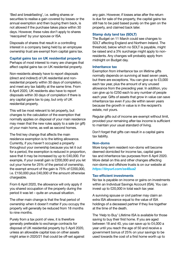'Bed and breakfasting', i.e. selling shares or securities to realise a gain covered by losses or the annual exemption and then buying them back, is not allowed if the purchase takes place within 30 days. However, these rules don't apply to shares 'reacquired' by your spouse or ISA.

Disposals of shares that result in a controlling interest in a company being held by an employee ownership trust are exempt from capital gains tax.

### **Capital gains tax on UK residential property**

Perhaps of most interest to many are changes that affect capital gains tax on UK residential property.

Non-residents already have to report disposals (direct and indirect) of UK residential and nonresidential property within 30 days of completion, and meet any tax liability at the same time. From 6 April 2020, UK residents also have to report disposals within 30 days of completion if there is any capital gains tax to pay, but only of UK residential property.

This will be most relevant to let property, but changes to the calculation of the exemption that normally applies on disposal of your main residence may mean that the new rules apply to a sale (or gift) of your main home, as well as second homes.

The first key change that affects the main residence exemption is to the letting allowance. Currently, if you haven't occupied a property throughout your ownership because you let it out for a period, the exemption is reduced in proportion, save that it may be increased by up to £40,000. For example, if your overall gain is £200,000 and you let out your home for 25% of the period of ownership, the exempt amount of the gain is 75% of £200,000, i.e. £150,000 plus £40,000 of the amount otherwise chargeable.

From 6 April 2020, the allowance will only apply if you shared occupation of the property during the period it was let – quite an unusual situation.

The other main change is that the final period of ownership when it doesn't matter if you occupy the property will generally be reduced from 18 months to nine months.

Purely from a tax point of view, it is therefore generally preferable to exchange contracts for disposal of UK residential property by 5 April 2020, unless an allowable capital loss on other assets might arise in 2020/21 that could be off-set against

any gain. However, if losses arise after the return is due for sale of the property, the capital gains tax still has to be paid based purely on the gain on the property, and claimed back later.

## **Stamp duty land tax (SDLT)**

The Budget on 11 March could see changes to SDLT affecting England and Northern Ireland. The threshold, below which no SDLT is payable, might be raised and a 3% surcharge might apply to nonresidents. Any changes will probably apply from midnight on Budget day.

#### **Inheritance tax**

Exemption from inheritance tax on lifetime gifts normally depends on surviving at least seven years, but there are exceptions. You can give up to £3,000 each tax year, plus the amount of any unused allowance from the preceding year. In addition, you can give up to £250 each to any number of people each year. Gifts of assets that grow in value can save inheritance tax even if you die within seven years because the growth in value is in the recipient's estate, not yours.

Regular gifts out of income are exempt without limit, provided your remaining after-tax income is sufficient to maintain your usual standard of living.

Don't forget that gifts can result in a capital gains tax liability.

#### **Non-doms**

More long-term resident non-doms will become deemed domiciled for income tax, capital gains tax and inheritance tax purposes from 6 April 2020. More detail on this and other changes affecting non-doms and offshore trusts is on our website at *https://tinyurl.com/ss48ua2*

#### **Tax-efficient investments**

No tax is payable on income or gains on investments within an Individual Savings Account (ISA). You can invest up to £20,000 in total each tax year.

A surviving spouse or civil partner may claim an extra ISA allowance equal to the value of ISA holdings of a deceased partner if they live together at the time of the death.

The 'Help to Buy' Lifetime ISA is available for those saving to buy their first home. If you are aged between 18 and 40, you can save up to £4,000 a year until you reach the age of 50 and receive a government bonus of 25% on your savings to be used towards the cost of a first home worth up to